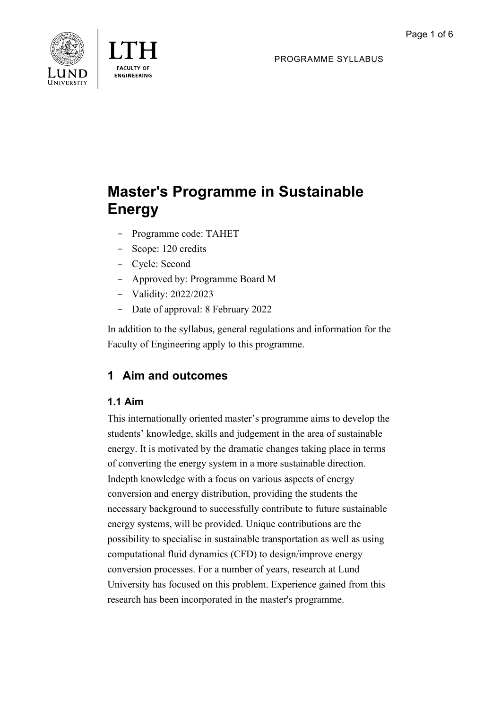



PROGRAMME SYLLABUS

# **Master's Programme in Sustainable Energy**

- Programme code: TAHET
- Scope: 120 credits
- Cycle: Second
- Approved by: Programme Board M
- Validity: 2022/2023
- Date of approval: 8 February 2022

In addition to the syllabus, general regulations and information for the Faculty of Engineering apply to this programme.

# **1 Aim and outcomes**

# **1.1 Aim**

This internationally oriented master's programme aims to develop the students' knowledge, skills and judgement in the area of sustainable energy. It is motivated by the dramatic changes taking place in terms of converting the energy system in a more sustainable direction. Indepth knowledge with a focus on various aspects of energy conversion and energy distribution, providing the students the necessary background to successfully contribute to future sustainable energy systems, will be provided. Unique contributions are the possibility to specialise in sustainable transportation as well as using computational fluid dynamics (CFD) to design/improve energy conversion processes. For a number of years, research at Lund University has focused on this problem. Experience gained from this research has been incorporated in the master's programme.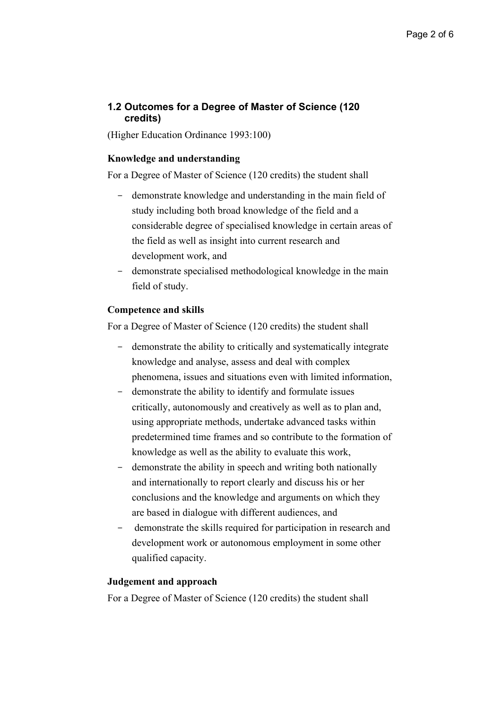### **1.2 Outcomes for a Degree of Master of Science (120 credits)**

(Higher Education Ordinance 1993:100)

#### **Knowledge and understanding**

For a Degree of Master of Science (120 credits) the student shall

- demonstrate knowledge and understanding in the main field of study including both broad knowledge of the field and a considerable degree of specialised knowledge in certain areas of the field as well as insight into current research and development work, and
- demonstrate specialised methodological knowledge in the main field of study.

#### **Competence and skills**

For a Degree of Master of Science (120 credits) the student shall

- demonstrate the ability to critically and systematically integrate knowledge and analyse, assess and deal with complex phenomena, issues and situations even with limited information,
- demonstrate the ability to identify and formulate issues critically, autonomously and creatively as well as to plan and, using appropriate methods, undertake advanced tasks within predetermined time frames and so contribute to the formation of knowledge as well as the ability to evaluate this work,
- demonstrate the ability in speech and writing both nationally and internationally to report clearly and discuss his or her conclusions and the knowledge and arguments on which they are based in dialogue with different audiences, and
- demonstrate the skills required for participation in research and development work or autonomous employment in some other qualified capacity.

#### **Judgement and approach**

For a Degree of Master of Science (120 credits) the student shall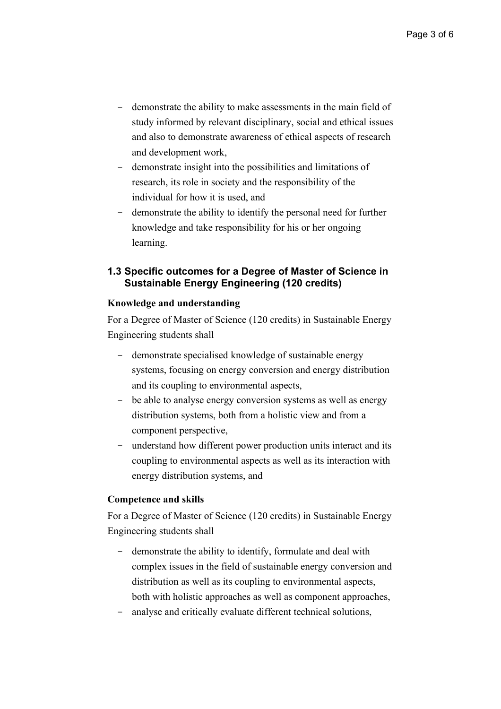- demonstrate the ability to make assessments in the main field of study informed by relevant disciplinary, social and ethical issues and also to demonstrate awareness of ethical aspects of research and development work,
- demonstrate insight into the possibilities and limitations of research, its role in society and the responsibility of the individual for how it is used, and
- demonstrate the ability to identify the personal need for further knowledge and take responsibility for his or her ongoing learning.

## **1.3 Specific outcomes for a Degree of Master of Science in Sustainable Energy Engineering (120 credits)**

#### **Knowledge and understanding**

For a Degree of Master of Science (120 credits) in Sustainable Energy Engineering students shall

- demonstrate specialised knowledge of sustainable energy systems, focusing on energy conversion and energy distribution and its coupling to environmental aspects,
- be able to analyse energy conversion systems as well as energy distribution systems, both from a holistic view and from a component perspective,
- understand how different power production units interact and its coupling to environmental aspects as well as its interaction with energy distribution systems, and

#### **Competence and skills**

For a Degree of Master of Science (120 credits) in Sustainable Energy Engineering students shall

- demonstrate the ability to identify, formulate and deal with complex issues in the field of sustainable energy conversion and distribution as well as its coupling to environmental aspects, both with holistic approaches as well as component approaches,
- analyse and critically evaluate different technical solutions,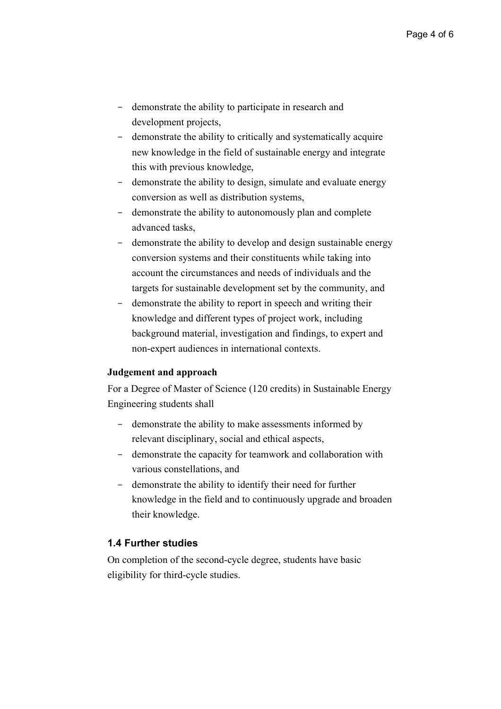- demonstrate the ability to participate in research and development projects,
- demonstrate the ability to critically and systematically acquire new knowledge in the field of sustainable energy and integrate this with previous knowledge,
- demonstrate the ability to design, simulate and evaluate energy conversion as well as distribution systems,
- demonstrate the ability to autonomously plan and complete advanced tasks,
- demonstrate the ability to develop and design sustainable energy conversion systems and their constituents while taking into account the circumstances and needs of individuals and the targets for sustainable development set by the community, and
- demonstrate the ability to report in speech and writing their knowledge and different types of project work, including background material, investigation and findings, to expert and non-expert audiences in international contexts.

#### **Judgement and approach**

For a Degree of Master of Science (120 credits) in Sustainable Energy Engineering students shall

- demonstrate the ability to make assessments informed by relevant disciplinary, social and ethical aspects,
- demonstrate the capacity for teamwork and collaboration with various constellations, and
- demonstrate the ability to identify their need for further knowledge in the field and to continuously upgrade and broaden their knowledge.

#### **1.4 Further studies**

On completion of the second-cycle degree, students have basic eligibility for third-cycle studies.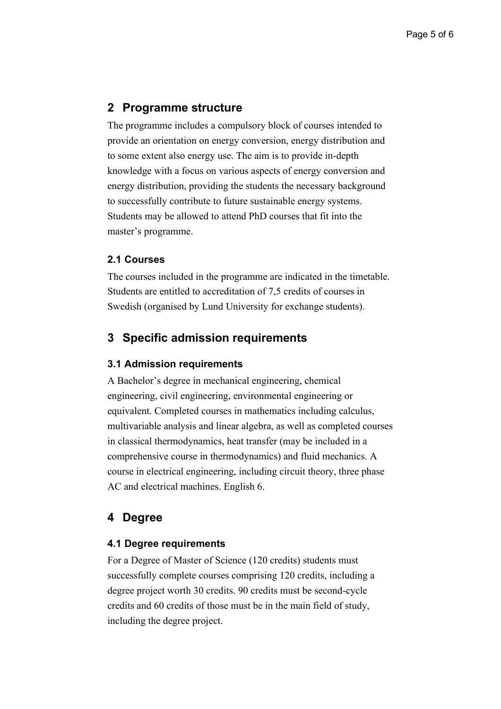# **2 Programme structure**

The programme includes a compulsory block of courses intended to provide an orientation on energy conversion, energy distribution and to some extent also energy use. The aim is to provide in-depth knowledge with a focus on various aspects of energy conversion and energy distribution, providing the students the necessary background to successfully contribute to future sustainable energy systems. Students may be allowed to attend PhD courses that fit into the master's programme.

#### **2.1 Courses**

The courses included in the programme are indicated in the timetable. Students are entitled to accreditation of 7,5 credits of courses in Swedish (organised by Lund University for exchange students).

# **3 Specific admission requirements**

#### **3.1 Admission requirements**

A Bachelor's degree in mechanical engineering, chemical engineering, civil engineering, environmental engineering or equivalent. Completed courses in mathematics including calculus, multivariable analysis and linear algebra, as well as completed courses in classical thermodynamics, heat transfer (may be included in a comprehensive course in thermodynamics) and fluid mechanics. A course in electrical engineering, including circuit theory, three phase AC and electrical machines. English 6.

# **4 Degree**

#### **4.1 Degree requirements**

For a Degree of Master of Science (120 credits) students must successfully complete courses comprising 120 credits, including a degree project worth 30 credits. 90 credits must be second-cycle credits and 60 credits of those must be in the main field of study, including the degree project.